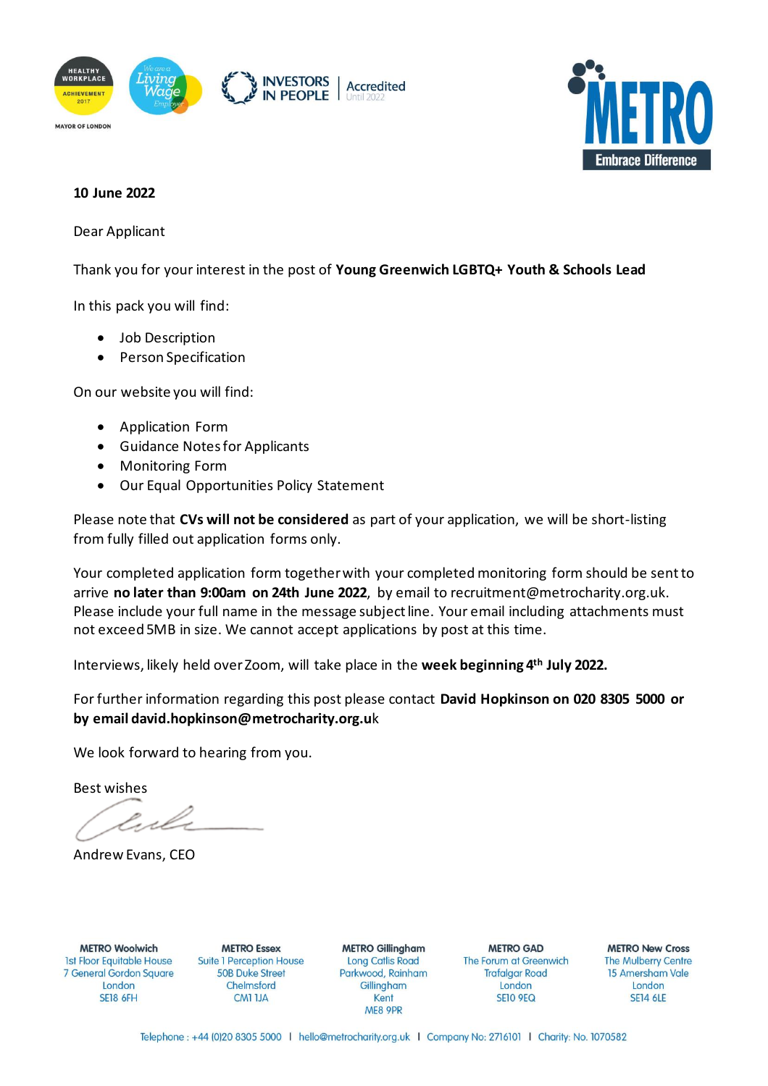



#### **10 June 2022**

Dear Applicant

Thank you for your interest in the post of **Young Greenwich LGBTQ+ Youth & Schools Lead**

In this pack you will find:

- Job Description
- Person Specification

On our website you will find:

- Application Form
- Guidance Notes for Applicants
- Monitoring Form
- Our Equal Opportunities Policy Statement

Please note that **CVs will not be considered** as part of your application, we will be short-listing from fully filled out application forms only.

Your completed application form together with your completedmonitoring form should be sent to arrive **no later than 9:00am on 24th June 2022**, by email to recruitment@metrocharity.org.uk. Please include your full name in the message subject line. Your email including attachments must not exceed 5MB in size. We cannot accept applications by post at this time.

Interviews, likely held over Zoom, will take place in the **week beginning 4 th July 2022.**

For further information regarding this post please contact **David Hopkinson on 020 8305 5000 or by email david.hopkinson@metrocharity.org.u**k

We look forward to hearing from you.

Best wishes

rile

Andrew Evans, CEO

**METRO Woolwich 1st Floor Equitable House** 7 General Gordon Square London **SE18 6FH** 

**METRO Essex Suite 1 Perception House 50B Duke Street** Chelmsford CM1 1JA

**METRO Gillingham Long Catlis Road** Parkwood, Rainham Gillingham Kent ME8 9PR

**METRO GAD** The Forum at Greenwich **Trafalgar Road** London **SE10 9EQ** 

**METRO New Cross The Mulberry Centre** 15 Amersham Vale London **SE14 6LE** 

Telephone: +44 (0)20 8305 5000 | hello@metrocharity.org.uk | Company No: 2716101 | Charity: No. 1070582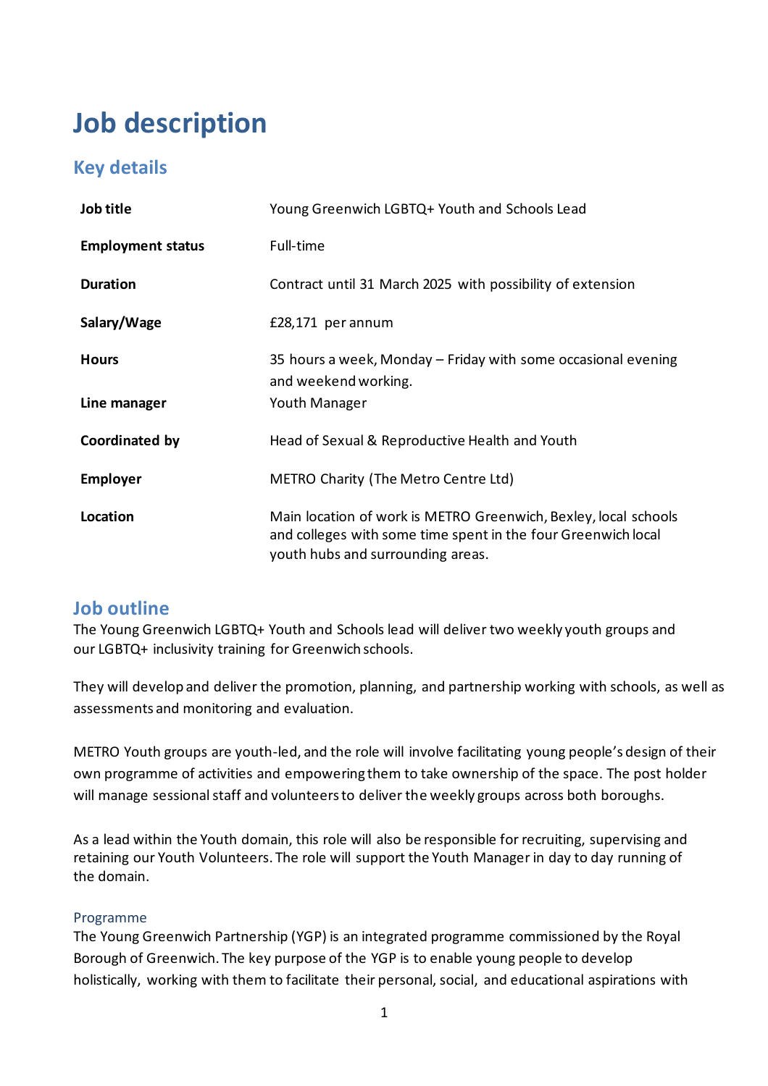## **Job description**

## **Key details**

| Job title                | Young Greenwich LGBTQ+ Youth and Schools Lead                                                                                                                         |
|--------------------------|-----------------------------------------------------------------------------------------------------------------------------------------------------------------------|
| <b>Employment status</b> | Full-time                                                                                                                                                             |
| <b>Duration</b>          | Contract until 31 March 2025 with possibility of extension                                                                                                            |
| Salary/Wage              | £28,171 per annum                                                                                                                                                     |
| <b>Hours</b>             | 35 hours a week, Monday - Friday with some occasional evening<br>and weekend working.                                                                                 |
| Line manager             | Youth Manager                                                                                                                                                         |
| Coordinated by           | Head of Sexual & Reproductive Health and Youth                                                                                                                        |
| <b>Employer</b>          | <b>METRO Charity (The Metro Centre Ltd)</b>                                                                                                                           |
| Location                 | Main location of work is METRO Greenwich, Bexley, local schools<br>and colleges with some time spent in the four Greenwich local<br>youth hubs and surrounding areas. |

### **Job outline**

The Young Greenwich LGBTQ+ Youth and Schools lead will deliver two weekly youth groups and our LGBTQ+ inclusivity training for Greenwich schools.

They will develop and deliver the promotion, planning, and partnership working with schools, as well as assessments and monitoring and evaluation.

METRO Youth groups are youth-led, and the role will involve facilitating young people's design of their own programme of activities and empowering them to take ownership of the space. The post holder will manage sessional staff and volunteers to deliver the weekly groups across both boroughs.

As a lead within the Youth domain, this role will also be responsible for recruiting, supervising and retaining our Youth Volunteers. The role will support the Youth Manager in day to day running of the domain.

#### Programme

The Young Greenwich Partnership (YGP) is an integrated programme commissioned by the Royal Borough of Greenwich. The key purpose of the YGP is to enable young people to develop holistically, working with them to facilitate their personal, social, and educational aspirations with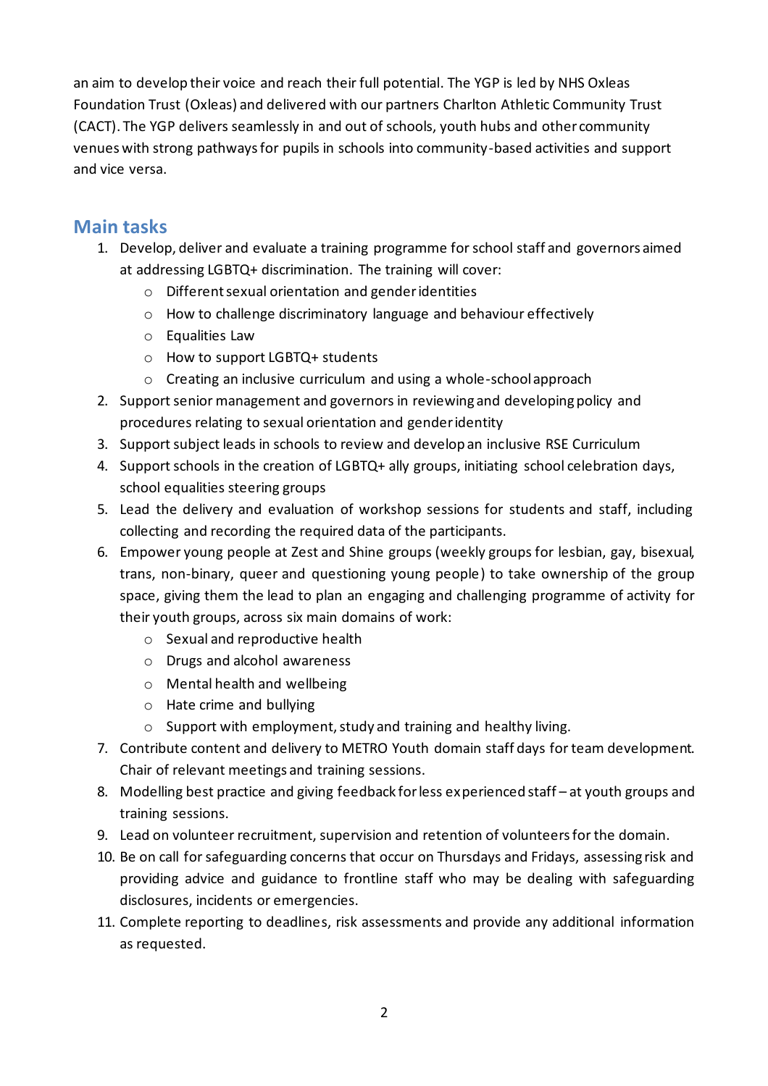an aim to develop their voice and reach their full potential. The YGP is led by NHS Oxleas Foundation Trust (Oxleas) and delivered with our partners Charlton Athletic Community Trust (CACT). The YGP delivers seamlessly in and out of schools, youth hubs and other community venues with strong pathways for pupils in schools into community-based activities and support and vice versa.

## **Main tasks**

- 1. Develop, deliver and evaluate a training programme for school staff and governors aimed at addressing LGBTQ+ discrimination. The training will cover:
	- o Different sexual orientation and gender identities
	- o How to challenge discriminatory language and behaviour effectively
	- o Equalities Law
	- o How to support LGBTQ+ students
	- o Creating an inclusive curriculum and using a whole-school approach
- 2. Support senior management and governors in reviewing and developing policy and procedures relating to sexual orientation and gender identity
- 3. Support subject leads in schools to review and develop an inclusive RSE Curriculum
- 4. Support schools in the creation of LGBTQ+ ally groups, initiating school celebration days, school equalities steering groups
- 5. Lead the delivery and evaluation of workshop sessions for students and staff, including collecting and recording the required data of the participants.
- 6. Empower young people at Zest and Shine groups (weekly groups for lesbian, gay, bisexual, trans, non-binary, queer and questioning young people) to take ownership of the group space, giving them the lead to plan an engaging and challenging programme of activity for their youth groups, across six main domains of work:
	- o Sexual and reproductive health
	- o Drugs and alcohol awareness
	- o Mental health and wellbeing
	- o Hate crime and bullying
	- o Support with employment, study and training and healthy living.
- 7. Contribute content and delivery to METRO Youth domain staff days for team development. Chair of relevant meetings and training sessions.
- 8. Modelling best practice and giving feedback for less experienced staff at youth groups and training sessions.
- 9. Lead on volunteer recruitment, supervision and retention of volunteers for the domain.
- 10. Be on call for safeguarding concerns that occur on Thursdays and Fridays, assessing risk and providing advice and guidance to frontline staff who may be dealing with safeguarding disclosures, incidents or emergencies.
- 11. Complete reporting to deadlines, risk assessments and provide any additional information as requested.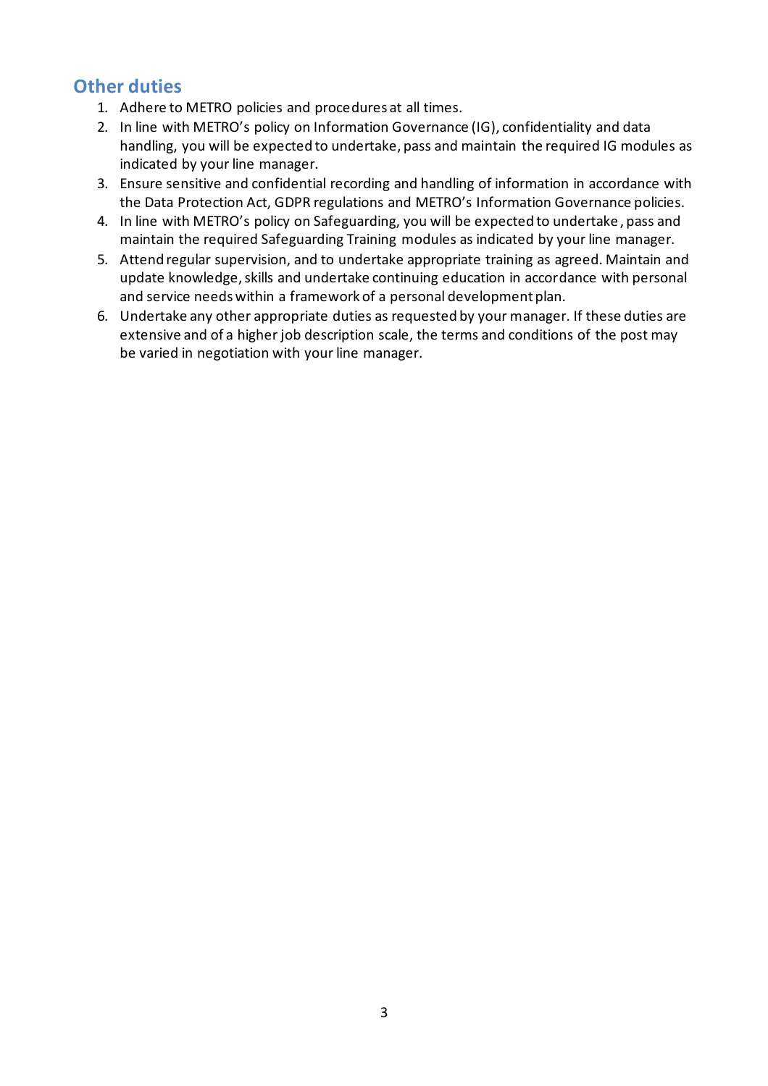## **Other duties**

- 1. Adhere to METRO policies and procedures at all times.
- 2. In line with METRO's policy on Information Governance (IG), confidentiality and data handling, you will be expected to undertake, pass and maintain the required IG modules as indicated by your line manager.
- 3. Ensure sensitive and confidential recording and handling of information in accordance with the Data Protection Act, GDPR regulations and METRO's Information Governance policies.
- 4. In line with METRO's policy on Safeguarding, you will be expected to undertake, pass and maintain the required Safeguarding Training modules as indicated by your line manager.
- 5. Attend regular supervision, and to undertake appropriate training as agreed. Maintain and update knowledge, skills and undertake continuing education in accordance with personal and service needs within a framework of a personal development plan.
- 6. Undertake any other appropriate duties as requested by your manager. If these duties are extensive and of a higher job description scale, the terms and conditions of the post may be varied in negotiation with your line manager.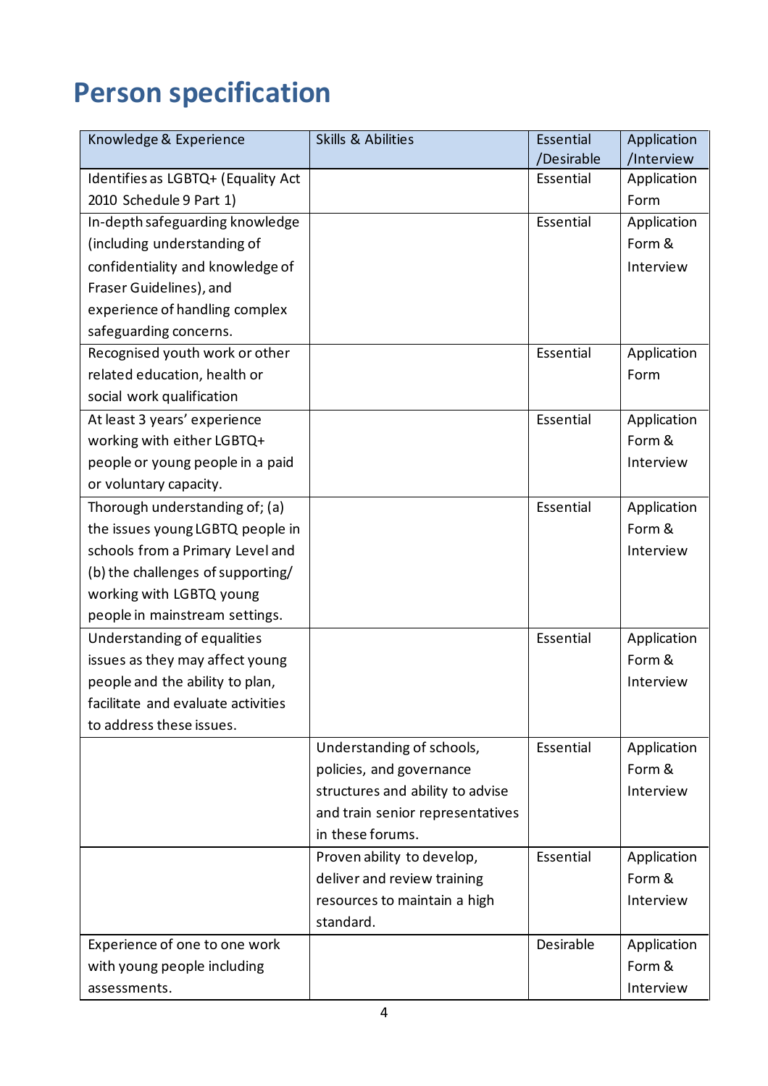# **Person specification**

| Knowledge & Experience             | <b>Skills &amp; Abilities</b>    | Essential  | Application |
|------------------------------------|----------------------------------|------------|-------------|
|                                    |                                  | /Desirable | /Interview  |
| Identifies as LGBTQ+ (Equality Act |                                  | Essential  | Application |
| 2010 Schedule 9 Part 1)            |                                  |            | Form        |
| In-depth safeguarding knowledge    |                                  | Essential  | Application |
| (including understanding of        |                                  |            | Form &      |
| confidentiality and knowledge of   |                                  |            | Interview   |
| Fraser Guidelines), and            |                                  |            |             |
| experience of handling complex     |                                  |            |             |
| safeguarding concerns.             |                                  |            |             |
| Recognised youth work or other     |                                  | Essential  | Application |
| related education, health or       |                                  |            | Form        |
| social work qualification          |                                  |            |             |
| At least 3 years' experience       |                                  | Essential  | Application |
| working with either LGBTQ+         |                                  |            | Form &      |
| people or young people in a paid   |                                  |            | Interview   |
| or voluntary capacity.             |                                  |            |             |
| Thorough understanding of; (a)     |                                  | Essential  | Application |
| the issues young LGBTQ people in   |                                  |            | Form &      |
| schools from a Primary Level and   |                                  |            | Interview   |
| (b) the challenges of supporting/  |                                  |            |             |
| working with LGBTQ young           |                                  |            |             |
| people in mainstream settings.     |                                  |            |             |
| Understanding of equalities        |                                  | Essential  | Application |
| issues as they may affect young    |                                  |            | Form &      |
| people and the ability to plan,    |                                  |            | Interview   |
| facilitate and evaluate activities |                                  |            |             |
| to address these issues.           |                                  |            |             |
|                                    | Understanding of schools,        | Essential  | Application |
|                                    | policies, and governance         |            | Form &      |
|                                    | structures and ability to advise |            | Interview   |
|                                    | and train senior representatives |            |             |
|                                    | in these forums.                 |            |             |
|                                    | Proven ability to develop,       | Essential  | Application |
|                                    | deliver and review training      |            | Form &      |
|                                    | resources to maintain a high     |            | Interview   |
|                                    | standard.                        |            |             |
| Experience of one to one work      |                                  | Desirable  | Application |
| with young people including        |                                  |            | Form &      |
| assessments.                       |                                  |            | Interview   |